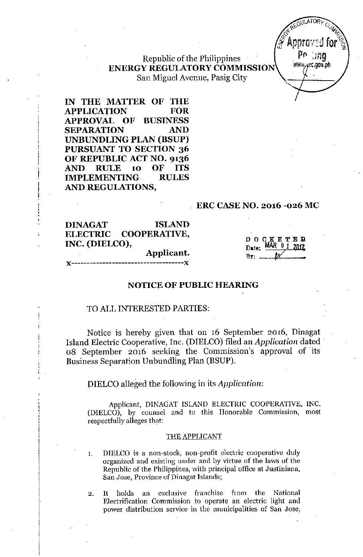## Republic of the Philippines ENERGY REGULATORYCOMMISSION San Miguel Avenue, Pasig City

IN THE MATIER OF THE APPLICATION FOR APPROVAL OF BUSINESS SEPARATION AND UNBUNDLING PLAN (BSUP) PURSUANT TO SECTION 36 OF REPUBLIC ACT NO. 9136 AND RULE 10 OF ITS IMPLEMENTING RULES AND REGULATIONS,

#### ERC CASENO. 2016 -026 MC

DINAGAT ISLAND ELECTRIC COOPERATIVE, INC. (DIELCO),

, , ;<br>;<br>r ¦<br>|r

Applicant.

D09.tKETEIJ Date: MAR 0 1  $B_{\nabla}$ : ...

## *J(------------------------------------J(*

#### NOTICE OF PUBLIC HEARING

#### TO ALL INTERESTED PARTIES:

Notice is hereby given that on 16 September 2016, Dinagat Island Electric Cooperative, Inc. (DIELCO) filed an *Application* dated 08 September 2016 seeking the Commission's approval *of* its Business Separation Unbundling Plan (BSUP).

#### DIELCO alleged the following in its *Application:*

Applicant, DINAGAT ISLAND ELECTRIC COOPERATIVE, INC. (DIELCO), by counsel and to this Honorable Commission, most respectfully alleges that:

#### THE APPLICANT

1. DIELCO is a non-stock, non-profit electric cooperative duly organized and existing under and by virtue of the laws of the Republic of the Philippines, with principal office at Justiniana, San Jose, Province of Dinagat Islands;

2. It holds an exclusive franchise from the National Electrification Commission to operate an electric light and power distribution service in the municipalities of San Jose,

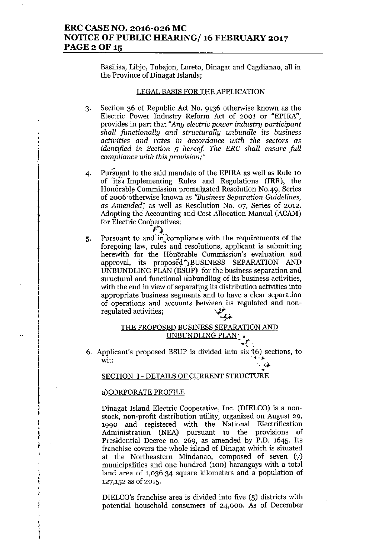## ERC CASE NO. 2016-026 MC NOTICE OF PUBLIC HEARING/ 16 FEBRUARY 2017 PAGE 2 OF 15

Basilisa, Libjo, Tubajon, Loreto, Dinagat and Cagdianao, all in the Province of Dinagat Islands;

#### LEGAL BASIS FOR THE APPLICATION

- 3. Section 36 of Republic Act No. 9136 otherwise known as the Electric Power Industry Reform Act of 2001 or "EPlRA", provides in part that *"Any electric power industry participant shall functionally and structurally unbundle* its *business activities* and *rates in accordance with the sectors* as *identified* in *Section* 5 *hereof The ERG shall ensure full compliance with this provision;"*
- 4. Pursuant to the said mandate of the EPlRA as well as Rule 10 of  $its$  Implementing Rules and Regulations (IRR), the Honorable Commission promulgated Resolution NO.49, Series of 2oo6.6'therwise known as *"Business Separation Guidelines,* as *Amended*<sup>"</sup>, as well as Resolution No. 07, Series of 2012, Adopting the Accounting and Cost Allocation Manual (ACAM) for Electric Cooperatives;  $\sum_{i=1}^{n}$
- 5. Pursuant to and in compliance with the requirements of the foregoing law, rules and resolutions, applicant is submitting herewith for the Hon6rable Commission's evaluation and approval, its proposed ' BUSINESS SEPARATION AND UNBUNDLING PLAN (BSUP) for the business separation and structural and functional unbundling of its business activities, with the end in view of separating its distribution activities into appropriate business segments and to have a clear separation of operations and accounts between its regulated and nonregulated activities;

## THE PROPOSED BUSINESS SEPARATION AND UNBUNDLING PLAN<sub>' •</sub>

6. Applicant's proposed BSUP is divided into six '(6) sections, to wit:  $\frac{1}{2}$  . The contract of  $\frac{1}{2}$  is the contract of  $\frac{1}{2}$  .  $\frac{1}{2}$ 

# ب<br><u>SECTION I - DETAILS OF CURRENT STRUCTURE</u>

#### a)CORPORATE PROFILE

i<br>|<br>| i  $\vdots$ |<br>|<br>| i

Dinagat Island Electric Cooperative, Inc. (DIELCO) is a nonstock, non-profit distribution utility, organized on August 29, 1990 and registered with the National Electrification Administration (NEA) pursuant to the provisions of Presidential Decree no. 269, as amended by P.D. 1645. Its franchise covers the whole island of Dinagat which is situated at the Northeastern Mindanao, composed of seven (7) municipalities and one hundred (100) barangays with a total land area of 1,036.34 square kilometers and a population of 127,152 as of 2015.

DIELCO's franchise area is divided into five (5) districts with potential household consumers of 24,000. As of December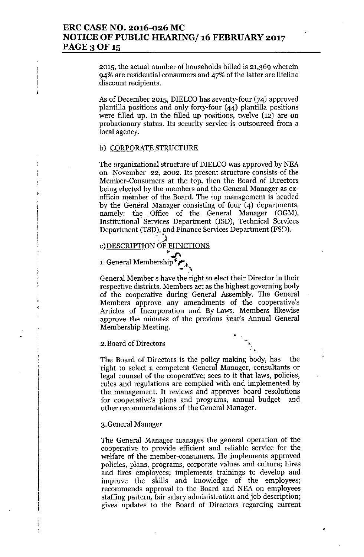2015, the actual number of households billed is 21,369 wherein 94% are residential consumers and 47% of the latter are lifeline discount recipients.

As of December 2015, DIELCO has seventy-four (74) approved plantilla positions and only forty-four (44) plantilla positions were filled up. In the filled up positions, twelve (12) are on probationary status. Its security service is outsourced from a local agency.

#### b) CORPORATE STRUCTURE

I' I

ŧ

•

|<br>\* i

> , I , l<br>l<br>l

 $\mathfrak{f}$ 

|<br>|<br>| |<br>|<br>| I

The organizational structure of DIELCO was approved by NEA on November 22, 2002. Its present structure consists of the Member-Consumers at the top, then the Board of Directors being elected by the members and the General Manager as exofficio member of the Board. The top management is headed by the General Manager consisting of four (4) departments, namely: the, Office of the General Manager (OGM), Institutional" Services Department (ISD), Technical Services Department (TSP), and Finance Services Department (FSD).

c) DESCRIPTION OF FUNCTIONS

- '1

1. General Membership

General Member s have the'right to elect their Director in their respective districts. Members act as the highest governing body of the cooperative during General Assembly. The General Members approve any amendments of the cooperative's Articles of Incorporation and By-Laws. Members likewise approve the minutes of the previous year's Annual General Membership Meeting.

2.Board of Directors

The Board of Directors is the policy making body, has the right to select a competent General Manager, consultants or legal counsel of the cooperative; sees to it that laws, policies, rules and regulations are complied with and implemented by the management. It reviews and approves board resolutions for cooperative's plans and programs, annual budget and other recommendations of the General Manager.

 $\frac{1}{\sqrt{2}}$ 

•

#### 3.General Manager

The General Manager manages the general operation of the cooperative to provide efficient and reliable service for the welfare of the member-consumers. He implements approved policies, plans, programs, corporate values and culture; hires and fires employees; implements trainings to develop and improve the skills and knowledge of the employees; recommends approval to the Board and NEA on employees staffing pattern, fair salary administration and job description; gives updates to the Board of Directors regarding current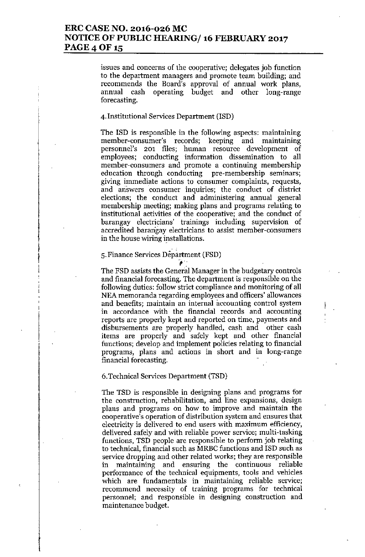## ERC CASE NO. 2016-026 MC NOTICE OF PUBLIC HEARING/ 16 FEBRUARY 2017 PAGE 4 OF 15

issues and concerns of the cooperative; delegates job function to the department managers and promote team building; and recommends the Board's approval of annual work plans, annual cash operating budget and other long-range forecasting.

#### 4. Institutional Services Department (ISD)

The ISD is responsible in the following aspects: maintaining member-consumer's records; keeping and maintaining personnel's 201 files; human resource development of employees; conducting information dissemination to all member-consumers and promote a continuing membership education through conducting pre-membership seminars; giving immediate actions to consumer complaints, requests, and ariswers consumer inquiries; the conduct of district elections; the conduct and administering annual general membership meeting; making plans and programs relating to institutional activities of the cooperative; and the conduct of barangay electricians' trainings including supervision of accredited barangay electricians to assist member-consumers in the house wiring installations.

## 5. Finance Services Department (FSD) rtr<br>1

**!** :<br>|<br>|<br>| I<br>|<br>|

The FSD assists the General Manager in the budgetary controls and financial forecasting. The department is responsible on the following duties: follow strict compliance and monitoring of all NEA memoranda regarding employees and officers' allowances and benefits; maintain an internal accounting control system in accordance with the financial records and accounting reports are properly kept and reported on time, payments and disbursements are properly handled, cash and other cash items are properly and safely kept and other financial functions; develop and implement policies relating to financial programs, plans and actions in short and in long-range financial forecasting.

#### 6.Technical Services Department (TSD)

The TSD is responsible in designing plans and programs for the construction, rehabilitation, and line expansions, design plans and programs on how to improve and maintain the cooperative's operation of distribution system and ensures that electricity is delivered to end users with maximum efficiency, delivered safely and with reliable power service; multi-tasking functions, TSD people are responsible to perform job relating to technical, financial such as MRBC functions and ISD such as service dropping and other related works; they are responsible in maintaining and ensuring the continuous reliable performance of the technical equipments, tools and vehicles which are fundamentals in maintaining reliable service; recommend necessity of training programs for technical personnel; and responsible in designing construction and maintenance budget.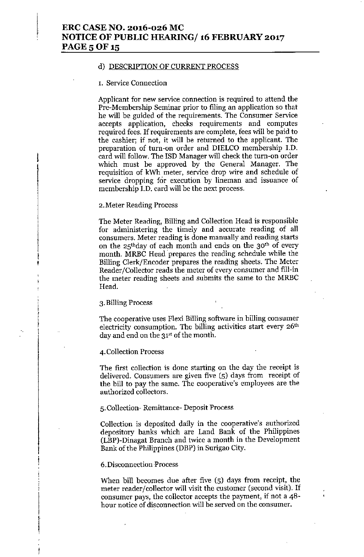#### d) DESCRlPTION OF CURRENT PROCESS

#### 1. Service Connection

Applicant for new service connection is required to attend the Pre-Membership Seminar prior to filing an application so that he will be guided of the requirements. The Consumer Service accepts application, checks requirements and computes required fees. If requirements are complete, fees will be paid to the cashier; if not, it will be returned to the applicant. The preparation of turn-on order and DIELCO membership J.D. card will follow. The ISD Manager will check the turn-on order which must be approved by the General Manager. The requisition of kWh meter, service drop wire and schedule of service dropping for execution by lineman and issuance of membersbip I.D. card will be the next process.

#### 2.Meter Reading Process

The Meter Reading, Billing and Collection Head is responsible for administering the timely and accurate reading of all consumers. Meter reading is done manually and reading starts on the 25thday of each month and ends on the 30th of every month. MRBC Head prepares the reading schedule while the Billing Clerk/Encoder prepares the reading sheets. The Meter Reader/Collector reads the meter of every consumer and fill-in the meter reading sheets and submits the same to the MRBC Head.

#### 3. Billing Process

I ,<br>|<br>|<br>|

t

The cooperative uses Flexi Billing software in billing consumer electricity consumption. The billing activities start every 26<sup>th</sup> day and end on the 31<sup>st</sup> of the month.

#### 4. Collection Process

The first collection is done starting on the day the receipt is delivered. Consumers are given five (5) days from receipt of the bill to pay the same. The cooperative's employees are the authorized collectors.

#### 5. Collection- Remittance- Deposit Process

Collection is deposited daily in the cooperative's authorized depository banks which are Land Bank of the Philippines (LBP)-Dinagat Branch and twice a month in the Development Bank of the Philippines (DBP) in Surigao City.

#### 6.Disconnection -Process

When bill becomes due after five (5) days from receipt, the meter reader/collector will visit the customer (second visit). If consumer pays, the collector accepts the payment, if not a 48 hour notice of disconnection will be served on the consumer.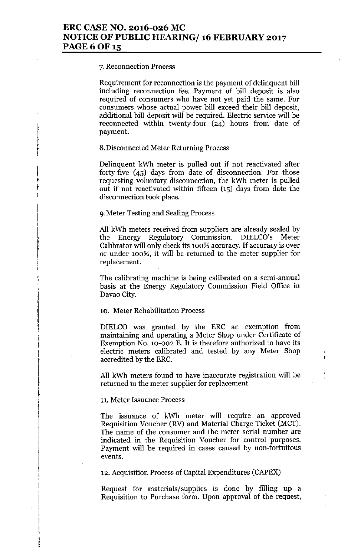#### 7. Reconnection Process

I • **∮**<br>† .<br>1

> $\mathbf{i}$ I i. I

Requirement for reconnection is the payment of delinquent bill including reconnection fee. Payment of bill deposit is also required of consumers who have not yet paid the same. For consumers whose actual power bill exceed their bill deposit, additional bill deposit will be required. Electric service will be reconnected within twenty-four (24) hours from date of payment.

#### 8.Disconnected Meter Returning Process

Delinquent kWh meter is pulled out if not reactivated after forty-five (45) days from date of disconnection. For those requesting voluntary disconnection, the kWh meter is pulled out if not reactivated within fifteen (15) days from date the disconnection took place.

#### g.Meter Testing and Sealing Process

All kWh meters received from suppliers are already sealed by the Energy Regulatory Commission. DIELCO's Meter Calibrator will only check its 100% accuracy. If accuracy is over or under 100%, it will be returned to the meter supplier for replacement.

The calibrating machine is being calibrated on a semi-annual basis at the Energy Regulatory Commission Field Office in Davao City.

#### 10. Meter Rehabilitation Process

DIELCO was granted by the ERC an exemption from maintaining and operating a Meter Shop under Certificate of Exemption No. 10-002 E. It is therefore authorized to have its electric meters calibrated and tested by any Meter Shop accredited by the ERC.

All kWh meters found to have inaccurate registration will be returned to the meter supplier for replacement.

#### 11. Meter Issuance Process

The issuance of kWh meter will require an approved Requisition Voucher (RY) and Material Charge Ticket (MCT). The name of the consumer and the meter serial number are indicated in the Requisition Voucher for control purposes. Payment will be required in cases caused by non-fortuitous events.

12. Acquisition Process of Capital Expenditures (CAPEX)

Request for materials/supplies is done by filling up a Requisition to Purchase form. Upon approval of the request,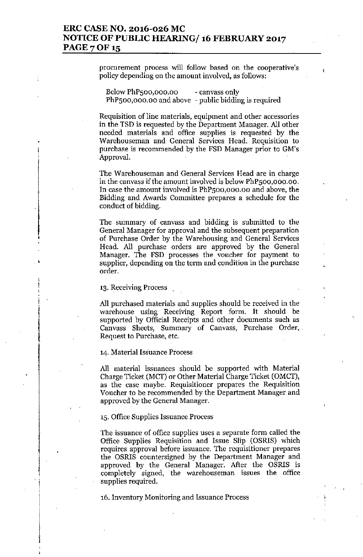## ERC CASE NO. 2016-026 MC NOTICE OF PUBLIC HEARING/ 16 FEBRUARY 2017 PAGE 7 OF 15

procurement process will follow based on the cooperative's policy depending on the amount involved, as follows:

Below PhPsoo,ooo.oo PhP500,000.00 and above - public bidding is require - canvass only

Requisition of line materials, equipment and other accessories in the TSD is requested by the Department Manager. All other needed materials and office supplies is requested by the Warehouseman and General Services Head. Requisition to purchase is recommended by the FSD Manager prior to GM's Approval.

The Warehouseman and General Services Head are in charge in the canvass if the amount involved is below PhPsoo,ooo.oo. In case the amount involved is PhPsoo,ooo.oo and above, the Bidding and Awards Committee prepares a schedule for the conduct of bidding.

The summary of canvass and bidding is submitted to the General Manager for approval and the subsequent preparation of Purchase Order by the Warehousing and General Services Head. All purchase orders are approved by the General Manager. The FSD processes the voucher for payment to supplier, depending on the term and condition in the purchase order.

13. Receiving Process

i l

|<br>|-<br>|-

i

i

All purchased materials and supplies should he received in the warehouse using Receiving Report form. It should be supported by Official Receipts and other documents such as Canvass Sheets, Summary of Canvass, Purchase Order, Request to Purchase, etc.

14. Material Issuance Process

All material issuances should be supported with Material Charge Ticket (MCT) or Other Material Charge Ticket (OMCT), as the case maybe. Requisitioner prepares the Requisition Voucher to be recommended by the Department Manager and approved by the General Manager.

15. Office Supplies Issuance Process

The issuance of office supplies uses a separate form called the Office Supplies Requisitiou and Issue Slip (OSRIS) which requires approval before issuance. The requisitioner prepares the OSRIS countersigned by the Department Manager and approved by the General Manager. After the OSRIS is completely signed, the warehouseman issues the office supplies required.

16. Inventory Monitoring and Issuance Process ,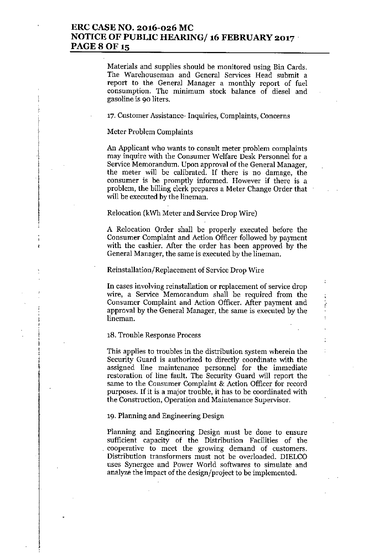## ERC CASE NO. 2016-026 MC NOTICE OF PUBLIC HEARING/ 16 FEBRUARY 2017 **PAGE 8 OF 15**

Materials and supplies should be monitored using Bin Cards. The Warehouseman and General Services Head submit a report to the General Manager a monthly report of fuel consumption. The minimum stock balance of diesel and gasoline is 90 liters.

17. Customer Assistance- Inquiries, Complaints, Concerns

#### Meter Problem Complaints

;<br>;<br>;

i \ t

An Applicant who wants to consult meter problem complaints may inquire with the Consumer Welfare Desk Personnel for a Service Memorandum. Upon approval of the General Manager, the meter will be calibrated. If there is no damage, the consumer is be promptly informed. However if there is a problem, the billing clerk prepares a Meter Change Order that will be executed by the lineman.

#### Relocation (kWh Meter and Service Drop Wire)

A Relocation Order shall be properly executed before the Consumer Complaint and Action Officer followed by payment with the cashier. After the order has been approved by the General Manager, the same is executed by the lineman.

#### Reinstallation/Replacement of Service Drop Wire

**In** cases involving reinstallation or replacement of service drop wire, a Service Memorandum shall be required from the Consumer Complaint and Action Officer. After payment and approval by the General Manager, the same is executed by the lineman.

#### 18. Trouble Response Process

This applies to troubles in the distribution system wherein the Security Guard is authorized to directly coordinate with the assigned line maintenance personnel for the immediate restoration of line fault. The Security Guard will report the same to the Consumer Complaint & Action Officer for record purposes. If it is a major trouble, it has to be coordinated with the Construction, Operation and Maintenance Supervisor.

#### 19. Planning and Engineering Design

Planning and Engineering Design must be done to ensure sufficient capacity of the Distribution Facilities of the cooperative to meet the growing demand of customers. Distribution transformers must not be overloaded. DIELCO uses Synergee and Power World softwares to simulate and analyze the impact of the design/project to be implemented.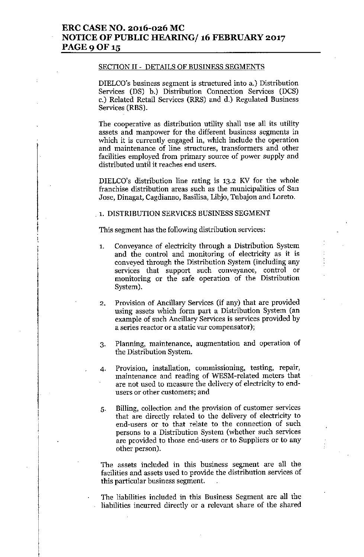#### SECTION II - DETAILS OF BUSINESS SEGMENTS

DIELCO's business segment is structured into a.) Distribution Services (DS) b.) Distribution Connection Services (DCS) c.) Related Retail Services (RRS) and d.) Regulated Business Services (RBS).

The cooperative as distribution utility shall use all its utility assets and manpower for the different business segments in which it is currently engaged in, which include the operation and maintenance of line structures, transformers and other facilities employed from primary source of power supply and distributed until it reaches end users.

DIELCO's distribution line rating is 13.2 KV for the whole franchise distribution areas such as the municipalities of San Jose, Dinagat, Cagdianao, Basilisa, Libjo, Tubajon and Loreto.

#### 1. DISTRIBUTION SERVICES BUSINESS SEGMENT

This segment has the following distribution services:

- 1. Conveyance of electricity through a Distribution System and the control and monitoring of electricity as it is conveyed through the Distribution System (including any services that support such conveyance, control or monitoring or the safe operation of the Distribution System).
- 2. Provision of Ancillary Services (if any) that are provided using assets which form part a Distribution System (an example of such Ancillary Services is services provided by a series reactor or a static var compensator);
- 3. Planning, maintenance, augmentation and operation of the Distribution System.
- 4. Provision, installation, commissioning, testing, repair, maintenance and reading of WESM-related meters that are not used to measure the delivery of electricity to endusers or other customers; and
- 5. Billing, collection and the provision of customer services that are directly related to the delivery of electricity to end-users or to that relate to the connection of such persons to a Distribution System (whether such services are provided to those end-users or to Suppliers or to any other person).

The assets included in this business segment are all the facilities and assets used to provide the distribution services of this particular business segment.

The liabilities included in this Business Segment are all the liabilities incurred directly or a relevant share of the shared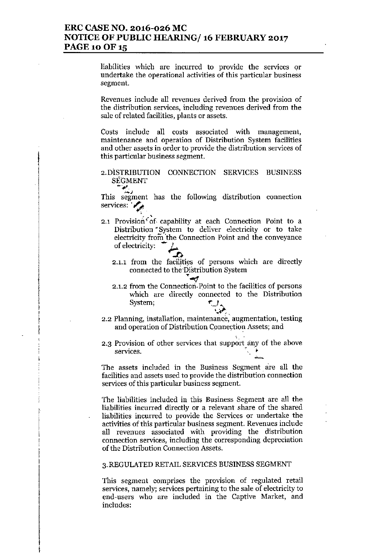## ERC CASE NO. 2016-026 MC NOTICE OF PUBLIC HEARING/ 16 FEBRUARY 2017 PAGE 10 OF 15

liabilities which are incurred to provide the services or undertake the operational activities of this particular business segment.

Revenues include all revenues derived from the provision of the distribution services, including revenues derived from the sale of related facilities, plants or assets.

Costs include all costs associated with management, maintenance and operation of Distribution System facilities and other assets in order to provide the distribution services of this particular business segment.

### 2.DISTRlBUTION CONNECTION SERVICES BUSINESS SEGMENT

*<Jr#,".* ~J This segment has the following distribution connection services:  $\mathcal{L}_{\mathcal{A}}$ 

- 2.1 Provision of capability at each Connection Point to a Distribution ~System to deliver electricity or to take electricity from 'the Connection Point and the conveyance of electricity:
	- $\sim$   $\sim$ 2.1.1 from the facilities of persons which are directly connected to the Distribution System
	- $\bullet$ 2.1.2 from the Connection Point to the facilities of persons which are directly connected to the Distribution System;
- 2.2 Planning, installation, maintenance, augmentation, testing and operation of Distribution Connection Assets; and

! 1

 $\ddagger$ 

2.3 Provision of other services that support any of the above services.

The assets included in the Business Segment are all the facilities and assets used to provide the distribution connection services of this particular business segment.

The liabilities included in this Business Segment are all the liabilities incurred directly or a relevant share of the shared liabilities incurred to provide the Services or undertake the activities of this particular business segment. Revenues include all revenues associated with providing the distribution connection services, including the corresponding depreciation of the Distribution Connection Assets.

#### 3. REGULATED RETAIL SERVICES BUSINESS SEGMENT

This segment comprises the provision of regulated retail services, namely; services pertaining to the sale of electricity to end-users who are included in the Captive Market, and includes: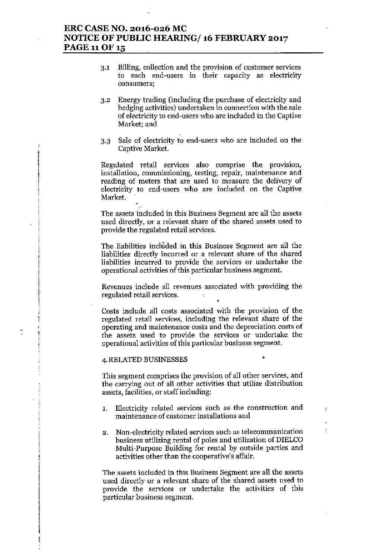## ERC CASE NO. 2016-026 MC NOTICE OF PUBLIC HEARING/ 16 FEBRUARY 2017 **PAGE 11 OF 15**

- 3.1 Billing, collection and the provision of customer services to such end-users in their capacity as electricity consumers;
- 3.2 Energy trading (including the purchase of electricity and hedging activities) undertaken in connection with the sale of electricity to end-users who are included in the Captive Market; and
- 3.3 Sale of electricity to end-users who are included on the Captive Market.

Regulated retail services also comprise the provision, installation, commissioning, testing, repair, maintenance and reading of meters that are used to measure the delivery of electricity to end-users who are included on the Captive Market.

The assets included in this Business Segment are all the assets used directly, or a relevant share of the shared assets used to provide the regulated retail services.

The liabilities included in this Business Segment are all the liabilities directly incurred or a relevant share of the shared liabilities incurred to provide the services or undertake the operational activities of this particular business segment.

Revenues include all revenues associated with providing the regulated retail services.  $\sim$   $t_{\rm c}$ 

Costs include all costs associated with the provision of the regulated retail services, including the relevant share of the operating and maintenance costs and the depreciation costs of the assets used to provide the services or undertake the operational activities of this particular business segment.

#### 4. RELATED BUSINESSES •

;<br>f  $, \, \cdot \,$ I

1 I j !<br>!

> This segment comprises the provision of all other services, and the carrying out of all other activities that utilize distribution assets, facilities, or staff including:

- 1. Electricity related services such as the construction and maintenance of customer installations and
- 2. Non-electricity related services such as telecommunication business utilizing rental of poles and utilization of DIELCO Multi-Purpose Building for rental by outside parties and activities other than the cooperative's affair.

The assets included in this Business Segment are all the assets used directly or a relevant share of the shared assets used to provide the services or undertake the activities of this particular business segment.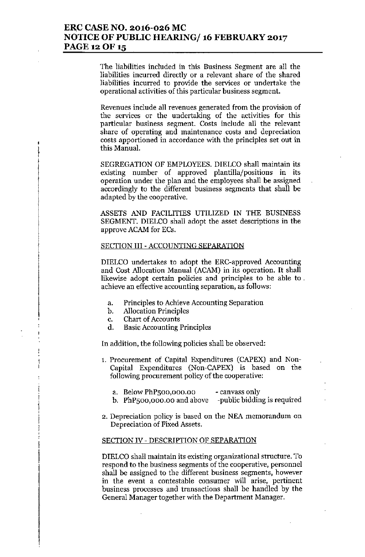## **ERC CASE NO. 2016-026 MC NOTICE OF PUBLIC HEARING/ 16 FEBRUARY 2017** PAGE 12 OF 15

The liabilities included in this Business Segment are all the **liabilities incurred directly or a relevant share of the shared liabilities incurred to provide the services or undertake the operational activities of this particular business segment.**

**Revenues include all revenues generated from the provision of the services or the undertaking of the activities for this particular business segment. Costs include all the relevant share of operating and maintenance costs and depreciation costs apportioned in accordance with the principles set out in** this Manual.

SEGREGATION OF EMPLOYEES. DIELCO shall maintain its **existing number of approved plantilla/positions in its** operation under the plan and the employees shall be assigned accordingly to the different business segments that shall be adapted by the cooperative.

ASSETS AND FACILITIES UTILIZED IN THE BUSINESS SEGMENT. DIELCO shall adopt the asset descriptions in the approve ACAM for ECs.

#### SECTION III - ACCOUNTING SEPARATION

DIELCO undertakes to adopt the ERC-approved Accounting and Cost Allocation Manual (ACAM) in its operation. It shall **likewise adopt certain policies and principles to be able to . achieve an effective accounting separation, as follows:**

- **a. Principles to Achieve Accounting Separation**
- b. Allocation Principles
- **c. Chart of Accounts**

,

**I**<br>I<br>I

**d. Basic Accounting Principles**

In addition, the following policies shall be ohserved:

- 1. Procurement of Capital Expenditures (CAPEX) and Non-Capital Expenditures (Non-CAPEX) is based on the **following procurement policy of the cooperative:**
	- **a. Below PhPsoo,ooo.oo - canvass only**
	- b. PhP500,000.00 and above -public bidding is require
- **2. Depreciation policy is based on the NEA memorandum on Depreciation of Fixed Assets.**

#### SECTION IV - DESCRIPTION OF SEPARATION

**DIELCOshall maintain its existing organizational structure. To respond to the business segments of the cooperative, personnel shall be assigned to the different business segments, however in the event a contestable consumer will arise, pertinent** business processes and transactions shall be handled by the General Manager together with the Department Manager.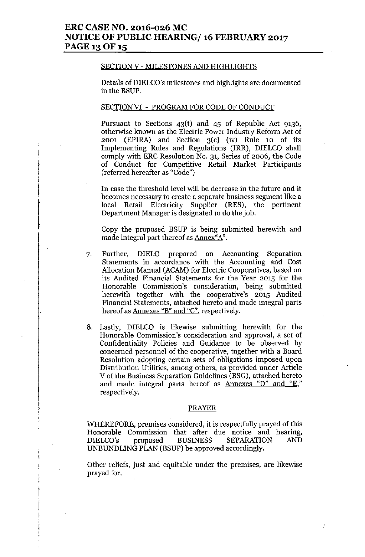## **ERC CASE NO. 2016-026 MC NOTICE OF PUBLIC HEARING/ 16 FEBRUARY 2017** PAGE 13 OF 15

#### SECTION V - MILESTONES AND HIGHLIGHTS

Details of DIELCO's milestones and highlights are documented in the BSUP.

#### SECTION VI - PROGRAM FOR CODE OF CONDUCT

[ , I i i<br>!<br>! Pursuant to Sections  $43(t)$  and  $45$  of Republic Act 9136, otherwise known as the Electric Power Industry Reform Act of 2001 (EPIRA) and Section 3(c) (iv) Rule 10 of its Implementing Rules and Regulations (IRR), DIELCO shall comply with ERC Resolution No. 31, Series of 2006, the Code **of Conduct for Competitive Retail Market Participants** (referred hereafter as "Code")

**In case the threshold level will he decrease in the future and it becomes necessary to create a separate business segment like a** local Retail Electricity Supplier (RES), the pertinent Department Manager is designated to do the job.

Copy the proposed BSUP is being submitted herewith and **made integral part thereof as Annex"A".**

- 7. Further, DIELO prepared an Accounting Separation **Statements in accordance with the Accounting and Cost** Allocation Manual (ACAM) for Electric Cooperatives, based on **its Audited Financial Statements for the Year 2015 for the Honorable Commission's consideration, being submitted** herewith together with the cooperative's 2015 Audited **Financial Statements, attached hereto and made integral parts** hereof as **Annexes** "B" and "C", respectively.
- 8. Lastly, DIELCO is likewise submitting herewith for the **Honorable Commission's consideration and approval, a set of** Confidentiality Policies and Guidance to be observed by **concerned personnel of the cooperative, together with a Board Resolution adopting certain sets of obligations imposed upon Distribution Utilities, among others, as provided under Article** V of the Business Separation Guidelines (BSG), attached hereto **and made integral parts hereof as Annexes "D" and "E," respectively.**

#### PRAYER

WHEREFORE, premises considered, it is respectfully prayed of this **Honorable Commission that after due notice and hearing,** DIELCO's proposed BUSINESS SEPARATION AND UNBUNDLING PLAN (BSUP) be approved accordingly.

**Other reliefs, just and equitable under the premises, are likewise** prayed for.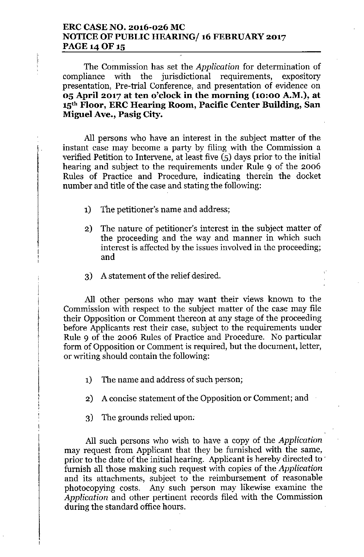## **ERC CASE NO. 2016-026 MC NOTICE OF PUBLIC HEARING/ 16 FEBRUARY 2017** PAGE 14 OF 15

The Commission has set the *Application* for determination of compliance with the jurisdictional requirements, expository presentation, Pre-trial Conference, and presentation of evidence on **05 April 2017 at ten o'clock in the morning (10:00 A.M.), at 15th Floor, ERC Hearing Room, Pacific Center Building, San Miguel Ave., Pasig City.**

All persons who have an interest in the subject matter of the instant case may become a party by filing with the Commission a verified Petition to Intervene, at least five (5) days prior to the initial hearing and subject to the requirements under Rule 9 of the 2006 Rules of Practice and Procedure, indicating therein the docket number and title of the case and stating the following:

- 1) The petitioner's name and address;
- 2) The nature of petitioner's interest in the subject matter of the proceeding and the way and manner in which such interest is affected by the issues involved in the proceeding; and
- 3) A statement of the relief desired.

All other persons who may want their views known to the Commission with respect to the subject matter of the case may file their Opposition or Comment thereon at any stage of the proceeding before Applicants rest their case, subject to the requirements under Rule 9 of the 2006 Rules of Practice and Procedure. No particular form of Opposition or Comment is required, but the document, letter, or writing should contain the following:

- 1) The name and address of such person;
- 2) A concise statement of the Opposition or Comment; and
- 3) The grounds relied upon:

All such persons who wish to have a copy of the *Application* may request from Applicant that they be furnished with the same, prior to the date of the initial hearing. Applicant is hereby directed to ' furnish all those making such request with copies of the *Application* and its attachments, subject to the reimbursement of reasonable photocopying costs. Any such person may likewise examine the *Application* and other pertinent records filed with the Commission during the standard office hours.